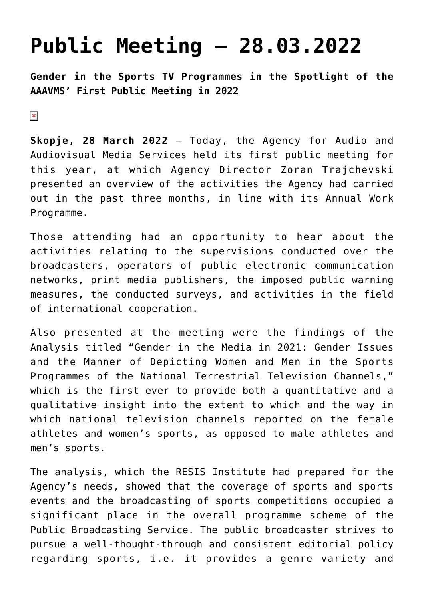## **[Public Meeting – 28.03.2022](https://avmu.mk/public-meeting-2/)**

**Gender in the Sports TV Programmes in the Spotlight of the AAAVMS' First Public Meeting in 2022**

 $\pmb{\times}$ 

**Skopje, 28 March 2022** – Today, the Agency for Audio and Audiovisual Media Services held its first public meeting for this year, at which Agency Director Zoran Trajchevski presented an overview of the activities the Agency had carried out in the past three months, in line with its Annual Work Programme.

Those attending had an opportunity to hear about the activities relating to the supervisions conducted over the broadcasters, operators of public electronic communication networks, print media publishers, the imposed public warning measures, the conducted surveys, and activities in the field of international cooperation.

Also presented at the meeting were the findings of the Analysis titled "Gender in the Media in 2021: Gender Issues and the Manner of Depicting Women and Men in the Sports Programmes of the National Terrestrial Television Channels," which is the first ever to provide both a quantitative and a qualitative insight into the extent to which and the way in which national television channels reported on the female athletes and women's sports, as opposed to male athletes and men's sports.

The analysis, which the RESIS Institute had prepared for the Agency's needs, showed that the coverage of sports and sports events and the broadcasting of sports competitions occupied a significant place in the overall programme scheme of the Public Broadcasting Service. The public broadcaster strives to pursue a well-thought-through and consistent editorial policy regarding sports, i.e. it provides a genre variety and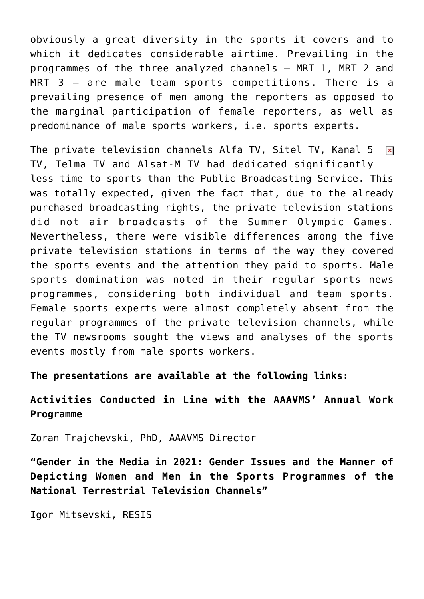obviously a great diversity in the sports it covers and to which it dedicates considerable airtime. Prevailing in the programmes of the three analyzed channels – MRT 1, MRT 2 and MRT 3 – are male team sports competitions. There is a prevailing presence of men among the reporters as opposed to the marginal participation of female reporters, as well as predominance of male sports workers, i.e. sports experts.

The private television channels Alfa TV, Sitel TV, Kanal 5  $\pmb{\times}$ TV, Telma TV and Alsat-M TV had dedicated significantly less time to sports than the Public Broadcasting Service. This was totally expected, given the fact that, due to the already purchased broadcasting rights, the private television stations did not air broadcasts of the Summer Olympic Games. Nevertheless, there were visible differences among the five private television stations in terms of the way they covered the sports events and the attention they paid to sports. Male sports domination was noted in their regular sports news programmes, considering both individual and team sports. Female sports experts were almost completely absent from the regular programmes of the private television channels, while the TV newsrooms sought the views and analyses of the sports events mostly from male sports workers.

**The presentations are available at the following links:**

**[Activities Conducted in Line with the AAAVMS' Annual Work](https://avmu.mk/wp-content/uploads/2022/03/%D0%9F%D1%80%D0%B5%D0%B7%D0%B5%D0%BD%D1%82%D0%B0%D1%86%D0%B8%D1%98%D0%B0-%D0%9F%D1%80%D0%B2-%D1%98%D0%B0%D0%B2%D0%B5%D0%BD-%D1%81%D0%BE%D1%81%D1%82%D0%B0%D0%BD%D0%BE%D0%BA-%D0%B7%D0%B0-2022.ppt) [Programme](https://avmu.mk/wp-content/uploads/2022/03/%D0%9F%D1%80%D0%B5%D0%B7%D0%B5%D0%BD%D1%82%D0%B0%D1%86%D0%B8%D1%98%D0%B0-%D0%9F%D1%80%D0%B2-%D1%98%D0%B0%D0%B2%D0%B5%D0%BD-%D1%81%D0%BE%D1%81%D1%82%D0%B0%D0%BD%D0%BE%D0%BA-%D0%B7%D0%B0-2022.ppt)**

Zoran Trajchevski, PhD, AAAVMS Director

**["Gender in the Media in 2021: Gender Issues and the Manner of](https://avmu.mk/wp-content/uploads/2022/03/%D0%A0%D0%BE%D0%B4%D0%BE%D1%82-%D0%B2%D0%BE-%D1%81%D0%BF%D0%BE%D1%80%D1%82%D1%81%D0%BA%D0%B0%D1%82%D0%B0-%D0%B8%D0%BD%D1%84%D0%BE%D1%80%D0%BC%D0%B0%D1%82%D0%B8%D0%B2%D0%BD%D0%B0-%D0%BF%D1%80%D0%BE%D0%B3%D1%80%D0%B0%D0%BC%D0%B0-%D0%98%D0%B3%D0%BE%D1%80-%D0%9C%D0%B8%D1%86%D0%B5%D0%B2%D1%81%D0%BA%D0%B8-%D0%A0%D0%95%D0%A1%D0%98%D0%A1.pptx) [Depicting Women and Men in the Sports Programmes of the](https://avmu.mk/wp-content/uploads/2022/03/%D0%A0%D0%BE%D0%B4%D0%BE%D1%82-%D0%B2%D0%BE-%D1%81%D0%BF%D0%BE%D1%80%D1%82%D1%81%D0%BA%D0%B0%D1%82%D0%B0-%D0%B8%D0%BD%D1%84%D0%BE%D1%80%D0%BC%D0%B0%D1%82%D0%B8%D0%B2%D0%BD%D0%B0-%D0%BF%D1%80%D0%BE%D0%B3%D1%80%D0%B0%D0%BC%D0%B0-%D0%98%D0%B3%D0%BE%D1%80-%D0%9C%D0%B8%D1%86%D0%B5%D0%B2%D1%81%D0%BA%D0%B8-%D0%A0%D0%95%D0%A1%D0%98%D0%A1.pptx) [National Terrestrial Television Channels"](https://avmu.mk/wp-content/uploads/2022/03/%D0%A0%D0%BE%D0%B4%D0%BE%D1%82-%D0%B2%D0%BE-%D1%81%D0%BF%D0%BE%D1%80%D1%82%D1%81%D0%BA%D0%B0%D1%82%D0%B0-%D0%B8%D0%BD%D1%84%D0%BE%D1%80%D0%BC%D0%B0%D1%82%D0%B8%D0%B2%D0%BD%D0%B0-%D0%BF%D1%80%D0%BE%D0%B3%D1%80%D0%B0%D0%BC%D0%B0-%D0%98%D0%B3%D0%BE%D1%80-%D0%9C%D0%B8%D1%86%D0%B5%D0%B2%D1%81%D0%BA%D0%B8-%D0%A0%D0%95%D0%A1%D0%98%D0%A1.pptx)**

Igor Mitsevski, RESIS